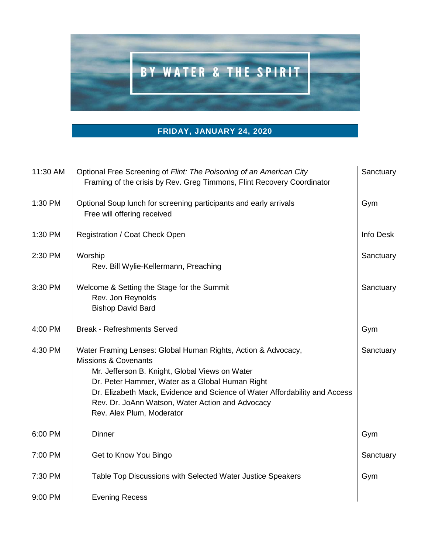

## **FRIDAY, JANUARY 24, 2020**

| 11:30 AM | Optional Free Screening of Flint: The Poisoning of an American City<br>Framing of the crisis by Rev. Greg Timmons, Flint Recovery Coordinator                                                                                                                                                                                                                        | Sanctuary |
|----------|----------------------------------------------------------------------------------------------------------------------------------------------------------------------------------------------------------------------------------------------------------------------------------------------------------------------------------------------------------------------|-----------|
| 1:30 PM  | Optional Soup lunch for screening participants and early arrivals<br>Free will offering received                                                                                                                                                                                                                                                                     | Gym       |
| 1:30 PM  | Registration / Coat Check Open                                                                                                                                                                                                                                                                                                                                       | Info Desk |
| 2:30 PM  | Worship<br>Rev. Bill Wylie-Kellermann, Preaching                                                                                                                                                                                                                                                                                                                     | Sanctuary |
| 3:30 PM  | Welcome & Setting the Stage for the Summit<br>Rev. Jon Reynolds<br><b>Bishop David Bard</b>                                                                                                                                                                                                                                                                          | Sanctuary |
| 4:00 PM  | <b>Break - Refreshments Served</b>                                                                                                                                                                                                                                                                                                                                   | Gym       |
| 4:30 PM  | Water Framing Lenses: Global Human Rights, Action & Advocacy,<br><b>Missions &amp; Covenants</b><br>Mr. Jefferson B. Knight, Global Views on Water<br>Dr. Peter Hammer, Water as a Global Human Right<br>Dr. Elizabeth Mack, Evidence and Science of Water Affordability and Access<br>Rev. Dr. JoAnn Watson, Water Action and Advocacy<br>Rev. Alex Plum, Moderator | Sanctuary |
| 6:00 PM  | <b>Dinner</b>                                                                                                                                                                                                                                                                                                                                                        | Gym       |
| 7:00 PM  | Get to Know You Bingo                                                                                                                                                                                                                                                                                                                                                | Sanctuary |
| 7:30 PM  | Table Top Discussions with Selected Water Justice Speakers                                                                                                                                                                                                                                                                                                           | Gym       |
| 9:00 PM  | <b>Evening Recess</b>                                                                                                                                                                                                                                                                                                                                                |           |